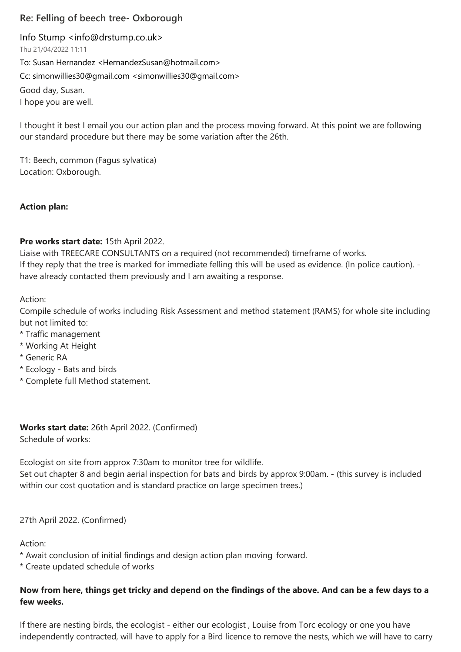# **Re: Felling of beech tree- Oxborough**

Info Stump [<info@drstump.co.uk>](mailto:info@drstump.co.uk)

Thu 21/04/2022 11:11

To: Susan Hernandez [<HernandezSusan@hotmail.com>](mailto:HernandezSusan@hotmail.com) Cc: [simonwillies30@gmail.com <simonwillies30@gmail.com>](mailto:simonwillies30@gmail.com) Good day, Susan. I hope you are well.

I thought it best I email you our action plan and the process moving forward. At this point we are following our standard procedure but there may be some variation after the 26th.

T1: Beech, common (Fagus sylvatica) Location: Oxborough.

## **Action plan:**

## **Pre works start date:** 15th April 2022.

Liaise with TREECARE CONSULTANTS on a required (not recommended) timeframe of works. If they reply that the tree is marked for immediate felling this will be used as evidence. (In police caution). have already contacted them previously and I am awaiting a response.

Action:

Compile schedule of works including Risk Assessment and method statement (RAMS) for whole site including but not limited to:

- \* Traffic management
- \* Working At Height
- \* Generic RA
- \* Ecology Bats and birds
- \* Complete full Method statement.

**Works start date:** 26th April 2022. (Confirmed) Schedule of works:

Ecologist on site from approx 7:30am to monitor tree for wildlife. Set out chapter 8 and begin aerial inspection for bats and birds by approx 9:00am. - (this survey is included within our cost quotation and is standard practice on large specimen trees.)

## 27th April 2022. (Confirmed)

Action:

- \* Await conclusion of initial findings and design action plan moving forward.
- \* Create updated schedule of works

## **Now from here, things get tricky and depend on the findings of the above. And can be a few days to a few weeks.**

If there are nesting birds, the ecologist - either our ecologist , Louise from Torc ecology or one you have independently contracted, will have to apply for a Bird licence to remove the nests, which we will have to carry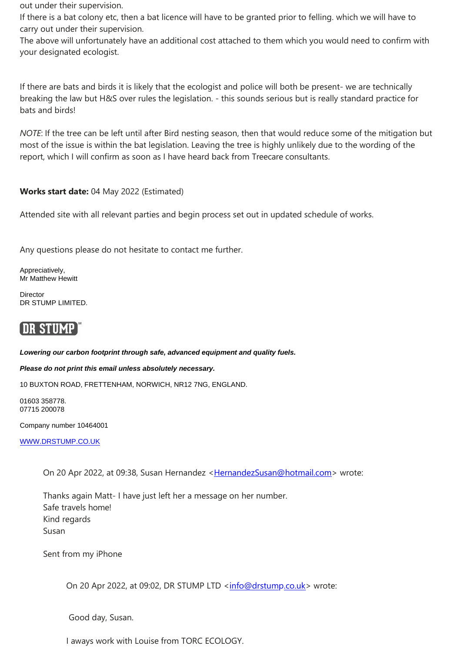out under their supervision.

If there is a bat colony etc, then a bat licence will have to be granted prior to felling. which we will have to carry out under their supervision.

The above will unfortunately have an additional cost attached to them which you would need to confirm with your designated ecologist.

If there are bats and birds it is likely that the ecologist and police will both be present- we are technically breaking the law but H&S over rules the legislation. - this sounds serious but is really standard practice for bats and birds!

*NOTE*: If the tree can be left until after Bird nesting season, then that would reduce some of the mitigation but most of the issue is within the bat legislation. Leaving the tree is highly unlikely due to the wording of the report, which I will confirm as soon as I have heard back from Treecare consultants.

## **Works start date:** 04 May 2022 (Estimated)

Attended site with all relevant parties and begin process set out in updated schedule of works.

Any questions please do not hesitate to contact me further.

Appreciatively, Mr Matthew Hewitt

**Director** DR STUMP LIMITED.

# **DR STUMP**

*Lowering our carbon footprint through safe, advanced equipment and quality fuels.* 

### *Please do not print this email unless absolutely necessary.*

10 BUXTON ROAD, FRETTENHAM, NORWICH, NR12 7NG, ENGLAND.

01603 358778. 07715 200078

Company number 10464001

[WWW.DRSTUMP.CO.UK](http://www.drstump.co.uk/)

On 20 Apr 2022, at 09:38, Susan Hernandez [<HernandezSusan@hotmail.com>](mailto:HernandezSusan@hotmail.com) wrote:

Thanks again Matt- I have just left her a message on her number. Safe travels home! Kind regards Susan

Sent from my iPhone

On 20 Apr 2022, at 09:02, DR STUMP LTD [<info@drstump.co.uk>](mailto:info@drstump.co.uk) wrote:

Good day, Susan.

I aways work with Louise from TORC ECOLOGY.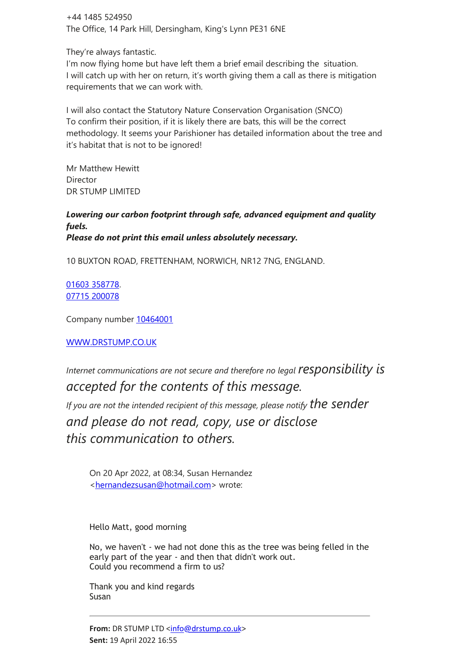+44 1485 524950 The Office, 14 Park Hill, Dersingham, King's Lynn PE31 6NE

They're always fantastic.

I'm now flying home but have left them a brief email describing the situation. I will catch up with her on return, it's worth giving them a call as there is mitigation requirements that we can work with.

I will also contact the Statutory Nature Conservation Organisation (SNCO) To confirm their position, if it is likely there are bats, this will be the correct methodology. It seems your Parishioner has detailed information about the tree and it's habitat that is not to be ignored!

Mr Matthew Hewitt **Director** DR STUMP LIMITED

*Lowering our carbon footprint through safe, advanced equipment and quality fuels. Please do not print this email unless absolutely necessary.*

10 BUXTON ROAD, FRETTENHAM, NORWICH, NR12 7NG, ENGLAND.

01603 358778. 07715 200078

Company number 10464001

[WWW.DRSTUMP.CO.UK](http://www.drstump.co.uk/)

*Internet communications are not secure and therefore no legal responsibility is accepted for the contents of this message.*

*If you are not the intended recipient of this message, please notify the sender and please do not read, copy, use or disclose this communication to others.*

On 20 Apr 2022, at 08:34, Susan Hernandez [<hernandezsusan@hotmail.com>](mailto:hernandezsusan@hotmail.com) wrote:

Hello Matt, good morning

No, we haven't - we had not done this as the tree was being felled in the early part of the year - and then that didn't work out. Could you recommend a firm to us?

Thank you and kind regards Susan

**From: DR STUMP LTD [<info@drstump.co.uk>](mailto:info@drstump.co.uk) Sent:** 19 April 2022 16:55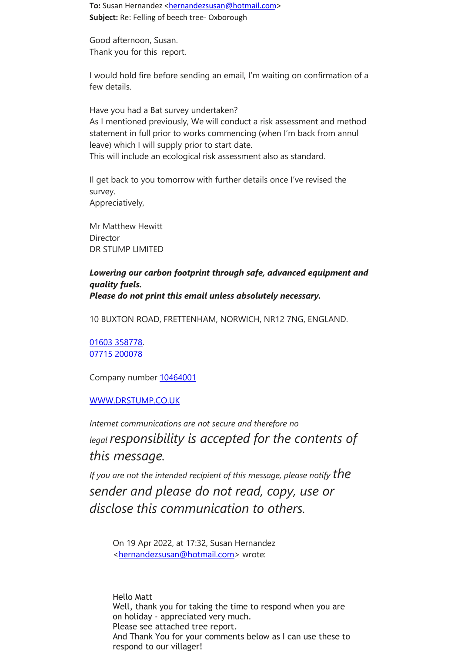To: Susan Hernandez [<hernandezsusan@hotmail.com>](mailto:hernandezsusan@hotmail.com) **Subject:** Re: Felling of beech tree- Oxborough

Good afternoon, Susan. Thank you for this report.

I would hold fire before sending an email, I'm waiting on confirmation of a few details.

Have you had a Bat survey undertaken? As I mentioned previously, We will conduct a risk assessment and method statement in full prior to works commencing (when I'm back from annul leave) which I will supply prior to start date. This will include an ecological risk assessment also as standard.

Il get back to you tomorrow with further details once I've revised the survey. Appreciatively,

Mr Matthew Hewitt Director DR STUMP LIMITED

*Lowering our carbon footprint through safe, advanced equipment and quality fuels. Please do not print this email unless absolutely necessary.*

10 BUXTON ROAD, FRETTENHAM, NORWICH, NR12 7NG, ENGLAND.

01603 358778. 07715 200078

Company number 10464001

### [WWW.DRSTUMP.CO.UK](http://www.drstump.co.uk/)

*Internet communications are not secure and therefore no legal responsibility is accepted for the contents of this message.*

*If you are not the intended recipient of this message, please notify*  $the$ *sender and please do not read, copy, use or disclose this communication to others.*

On 19 Apr 2022, at 17:32, Susan Hernandez [<hernandezsusan@hotmail.com>](mailto:hernandezsusan@hotmail.com) wrote:

Hello Matt Well, thank you for taking the time to respond when you are on holiday - appreciated very much. Please see attached tree report. And Thank You for your comments below as I can use these to respond to our villager!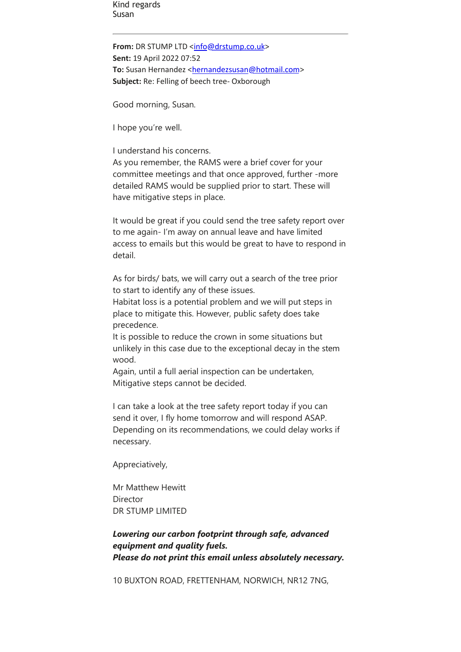Kind regards Susan

**From:** DR STUMP LTD [<info@drstump.co.uk>](mailto:info@drstump.co.uk) **Sent:** 19 April 2022 07:52 **To:** Susan Hernandez [<hernandezsusan@hotmail.com>](mailto:hernandezsusan@hotmail.com) **Subject:** Re: Felling of beech tree- Oxborough

Good morning, Susan.

I hope you're well.

I understand his concerns.

As you remember, the RAMS were a brief cover for your committee meetings and that once approved, further -more detailed RAMS would be supplied prior to start. These will have mitigative steps in place.

It would be great if you could send the tree safety report over to me again- I'm away on annual leave and have limited access to emails but this would be great to have to respond in detail.

As for birds/ bats, we will carry out a search of the tree prior to start to identify any of these issues.

Habitat loss is a potential problem and we will put steps in place to mitigate this. However, public safety does take precedence.

It is possible to reduce the crown in some situations but unlikely in this case due to the exceptional decay in the stem wood.

Again, until a full aerial inspection can be undertaken, Mitigative steps cannot be decided.

I can take a look at the tree safety report today if you can send it over, I fly home tomorrow and will respond ASAP. Depending on its recommendations, we could delay works if necessary.

Appreciatively,

Mr Matthew Hewitt **Director** DR STUMP LIMITED

## *Lowering our carbon footprint through safe, advanced equipment and quality fuels. Please do not print this email unless absolutely necessary.*

10 BUXTON ROAD, FRETTENHAM, NORWICH, NR12 7NG,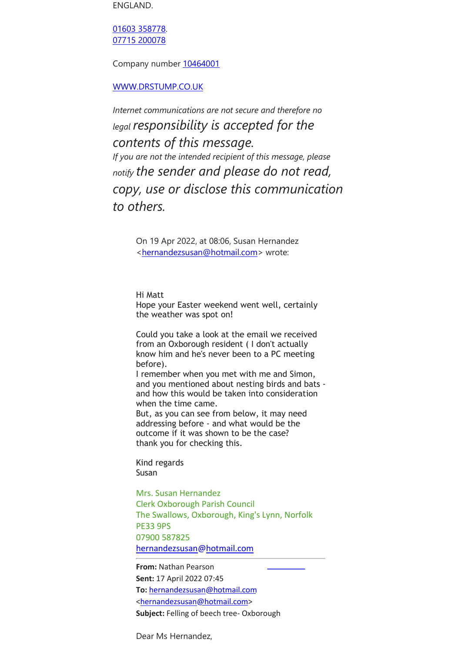ENGLAND.

01603 358778. 07715 200078

Company number 10464001

[WWW.DRSTUMP.CO.UK](http://www.drstump.co.uk/)

*Internet communications are not secure and therefore no legal responsibility is accepted for the contents of this message. If you are not the intended recipient of this message, please notify the sender and please do not read, copy, use or disclose this communication to others.*

> On 19 Apr 2022, at 08:06, Susan Hernandez [<hernandezsusan@hotmail.com>](mailto:hernandezsusan@hotmail.com) wrote:

Hi Matt Hope your Easter weekend went well, certainly the weather was spot on!

Could you take a look at the email we received from an Oxborough resident ( I don't actually know him and he's never been to a PC meeting before).

I remember when you met with me and Simon, and you mentioned about nesting birds and bats and how this would be taken into consideration when the time came.

But, as you can see from below, it may need addressing before - and what would be the outcome if it was shown to be the case? thank you for checking this.

Kind regards Susan

Mrs. Susan Hernandez Clerk Oxborough Parish Council The Swallows, Oxborough, King's Lynn, Norfolk PE33 9PS 07900 587825 [hernandezsusan@hotmail.com](mailto:hernandezsusan@hotmail.com)

**From:** Nathan Pearson **Sent:** 17 April 2022 07:45 **To:** [hernandezsusan@hotmail.com](mailto:hernandezsusan@hotmail.com) [<hernandezsusan@hotmail.com>](mailto:hernandezsusan@hotmail.com) **Subject:** Felling of beech tree- Oxborough

Dear Ms Hernandez,